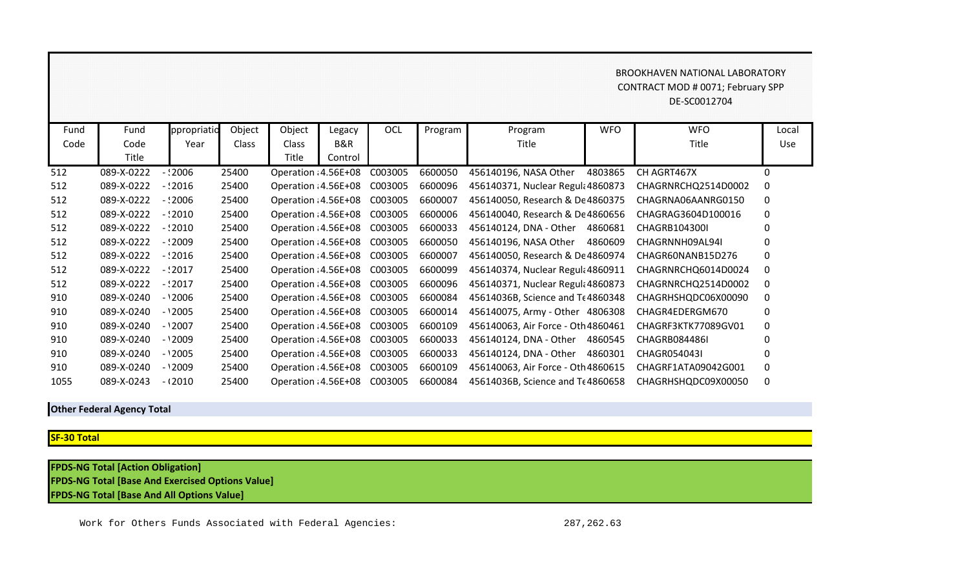## BROOKHAVEN NATIONAL LABORATORY CONTRACT MOD # 0071; February SPP DE-SC0012704

| Fund | Fund       | ppropriatio | Object       | Object               | Legacy  | OCL     | Program | Program                            | <b>WFO</b> | <b>WFO</b>          | Local        |
|------|------------|-------------|--------------|----------------------|---------|---------|---------|------------------------------------|------------|---------------------|--------------|
| Code | Code       | Year        | <b>Class</b> | <b>Class</b>         | B&R     |         |         | Title                              |            | Title               | <b>Use</b>   |
|      | Title      |             |              | Title                | Control |         |         |                                    |            |                     |              |
| 512  | 089-X-0222 | $-12006$    | 25400        | Operation : 4.56E+08 |         | C003005 | 6600050 | 456140196, NASA Other              | 4803865    | CH AGRT467X         | $\Omega$     |
| 512  | 089-X-0222 | - 12016     | 25400        | Operation : 4.56E+08 |         | C003005 | 6600096 | 456140371, Nuclear Regult 4860873  |            | CHAGRNRCHQ2514D0002 | $\Omega$     |
| 512  | 089-X-0222 | - : 2006    | 25400        | Operation : 4.56E+08 |         | C003005 | 6600007 | 456140050, Research & De 4860375   |            | CHAGRNA06AANRG0150  | $\Omega$     |
| 512  | 089-X-0222 | $-2010$     | 25400        | Operation : 4.56E+08 |         | C003005 | 6600006 | 456140040, Research & De 4860656   |            | CHAGRAG3604D100016  | $\Omega$     |
| 512  | 089-X-0222 | - : 2010    | 25400        | Operation : 4.56E+08 |         | C003005 | 6600033 | 456140124, DNA - Other             | 4860681    | CHAGRB104300I       | $\Omega$     |
| 512  | 089-X-0222 | - : 2009    | 25400        | Operation : 4.56E+08 |         | C003005 | 6600050 | 456140196, NASA Other              | 4860609    | CHAGRNNH09AL94I     | $\Omega$     |
| 512  | 089-X-0222 | $-12016$    | 25400        | Operation : 4.56E+08 |         | C003005 | 6600007 | 456140050, Research & De 4860974   |            | CHAGR60NANB15D276   | $\Omega$     |
| 512  | 089-X-0222 | $-2017$     | 25400        | Operation : 4.56E+08 |         | C003005 | 6600099 | 456140374, Nuclear Regult 4860911  |            | CHAGRNRCHQ6014D0024 | $\Omega$     |
| 512  | 089-X-0222 | $-2017$     | 25400        | Operation : 4.56E+08 |         | C003005 | 6600096 | 456140371, Nuclear Regula 4860873  |            | CHAGRNRCHQ2514D0002 | 0            |
| 910  | 089-X-0240 | $-12006$    | 25400        | Operation : 4.56E+08 |         | C003005 | 6600084 | 45614036B, Science and Tr 4860348  |            | CHAGRHSHQDC06X00090 | $\mathbf{0}$ |
| 910  | 089-X-0240 | $-12005$    | 25400        | Operation : 4.56E+08 |         | C003005 | 6600014 | 456140075, Army - Other 4806308    |            | CHAGR4EDERGM670     | 0            |
| 910  | 089-X-0240 | $-12007$    | 25400        | Operation : 4.56E+08 |         | C003005 | 6600109 | 456140063, Air Force - Oth 4860461 |            | CHAGRF3KTK77089GV01 | 0            |
| 910  | 089-X-0240 | $-12009$    | 25400        | Operation : 4.56E+08 |         | C003005 | 6600033 | 456140124, DNA - Other             | 4860545    | CHAGRB084486I       | 0            |
| 910  | 089-X-0240 | $-12005$    | 25400        | Operation : 4.56E+08 |         | C003005 | 6600033 | 456140124, DNA - Other             | 4860301    | CHAGR054043I        | 0            |
| 910  | 089-X-0240 | - '2009     | 25400        | Operation : 4.56E+08 |         | C003005 | 6600109 | 456140063, Air Force - Oth 4860615 |            | CHAGRF1ATA09042G001 | 0            |
| 1055 | 089-X-0243 | $-12010$    | 25400        | Operation : 4.56E+08 |         | C003005 | 6600084 | 45614036B, Science and Te4860658   |            | CHAGRHSHQDC09X00050 | $\Omega$     |

## **Other Federal Agency Total**

## **SF-30 Total**

**FPDS-NG Total [Action Obligation] FPDS-NG Total [Base And Exercised Options Value] FPDS-NG Total [Base And All Options Value]**

Work for Others Funds Associated with Federal Agencies: 287,262.63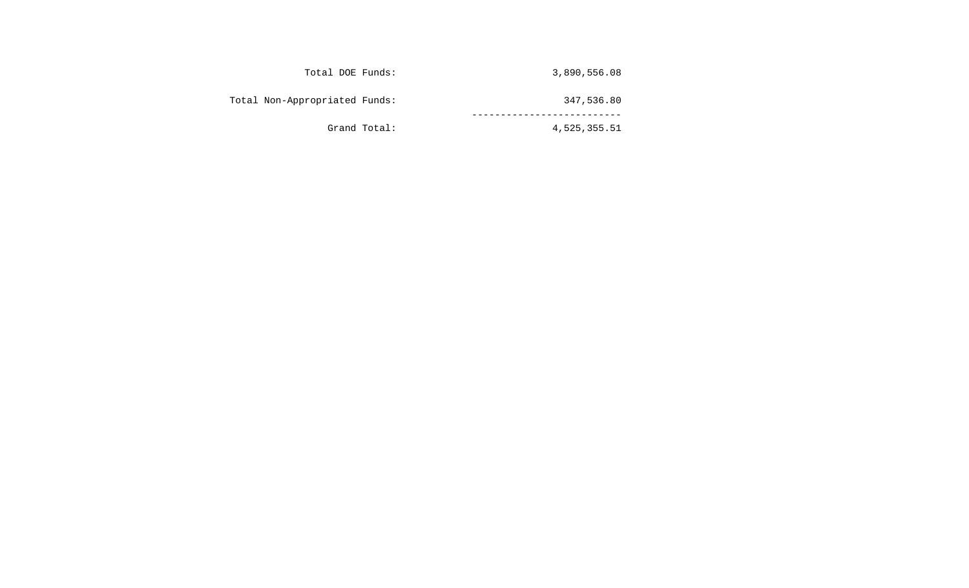| 3,890,556.08 | Total DOE Funds:              |
|--------------|-------------------------------|
| 347,536.80   | Total Non-Appropriated Funds: |
| 4,525,355.51 | Grand Total:                  |